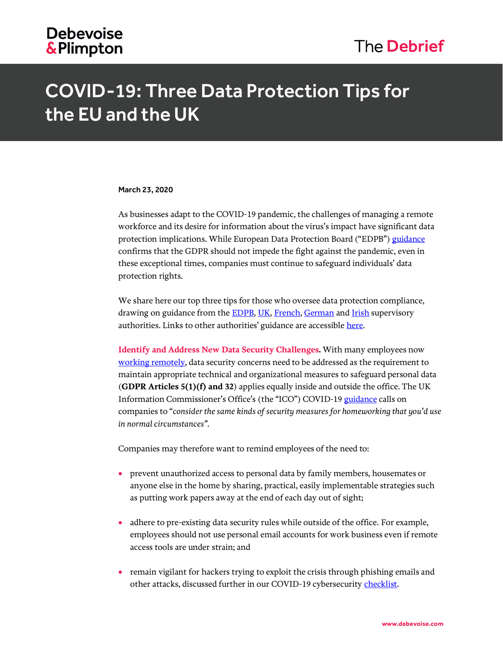## COVID-19: Three Data Protection Tips for the EU and the UK

## March 23, 2020

As businesses adapt to the COVID-19 pandemic, the challenges of managing a remote workforce and its desire for information about the virus's impact have significant data protection implications. While European Data Protection Board ("EDPB") [guidance](https://edpb.europa.eu/sites/edpb/files/files/news/edpb_statement_2020_processingpersonaldataandcovid-19_en.pdf) confirms that the GDPR should not impede the fight against the pandemic, even in these exceptional times, companies must continue to safeguard individuals' data protection rights.

We share here our top three tips for those who oversee data protection compliance, drawing on guidance from the **EDPB**, [UK,](https://ico.org.uk/for-organisations/data-protection-and-coronavirus/) [French,](https://www.cnil.fr/fr/coronavirus-covid-19-les-rappels-de-la-cnil-sur-la-collecte-de-donnees-personnelles) [German](https://www.bfdi.bund.de/DE/Datenschutz/Themen/Gesundheit_Soziales/GesundheitSozialesArtikel/Datenschutz-in-Corona-Pandemie.html) and [Irish](https://dataprotection.ie/en/news-media/blogs/data-protection-and-covid-19) supervisory authorities. Links to other authorities' guidance are accessible [here.](https://iapp.org/resources/article/dpa-guidance-on-covid-19/)

**Identify and Address New Data Security Challenges.** With many employees now [working remotely,](https://www.debevoise.com/insights/publications/2020/03/us-legal-considerations-for-remote-work) data security concerns need to be addressed as the requirement to maintain appropriate technical and organizational measures to safeguard personal data (**GDPR Articles 5(1)(f) and 32**) applies equally inside and outside the office. The UK Information Commissioner's Office's (the "ICO") COVID-1[9 guidance](https://ico.org.uk/for-organisations/data-protection-and-coronavirus/) calls on companies to "*consider the same kinds of security measures for homeworking that you'd use in normal circumstances"*.

Companies may therefore want to remind employees of the need to:

- prevent unauthorized access to personal data by family members, housemates or anyone else in the home by sharing, practical, easily implementable strategies such as putting work papers away at the end of each day out of sight;
- adhere to pre-existing data security rules while outside of the office. For example, employees should not use personal email accounts for work business even if remote access tools are under strain; and
- remain vigilant for hackers trying to exploit the crisis through phishing emails and other attacks, discussed further in our COVID-19 cybersecurity [checklist.](https://www.debevoise.com/insights/publications/2020/03/debevoise-coronavirus-checklists-cybersecurity)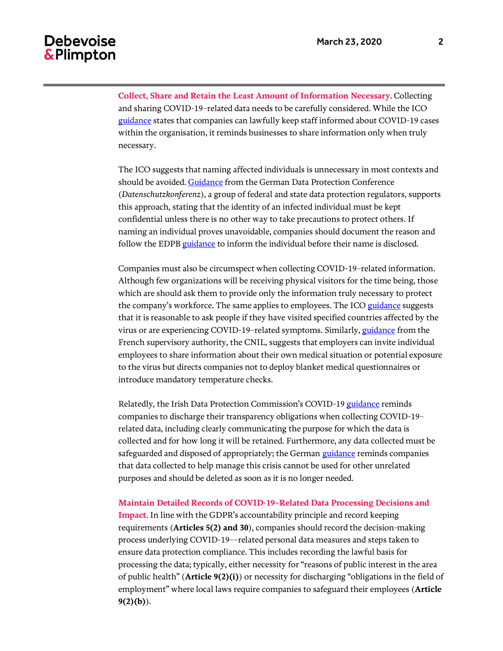## **Debevoise** & Plimpton

**Collect, Share and Retain the Least Amount of Information Necessary**. Collecting and sharing COVID-19–related data needs to be carefully considered. While the ICO [guidance](https://ico.org.uk/for-organisations/data-protection-and-coronavirus/) states that companies can lawfully keep staff informed about COVID-19 cases within the organisation, it reminds businesses to share information only when truly necessary.

The ICO suggests that naming affected individuals is unnecessary in most contexts and should be avoided. [Guidance](https://www.bfdi.bund.de/DE/Datenschutz/Themen/Gesundheit_Soziales/GesundheitSozialesArtikel/Datenschutz-in-Corona-Pandemie.html) from the German Data Protection Conference (*Datenschutzkonferenz*), a group of federal and state data protection regulators, supports this approach, stating that the identity of an infected individual must be kept confidential unless there is no other way to take precautions to protect others. If naming an individual proves unavoidable, companies should document the reason and follow the EDPB [guidance](https://edpb.europa.eu/sites/edpb/files/files/news/edpb_statement_2020_processingpersonaldataandcovid-19_en.pdf) to inform the individual before their name is disclosed.

Companies must also be circumspect when collecting COVID-19–related information. Although few organizations will be receiving physical visitors for the time being, those which are should ask them to provide only the information truly necessary to protect the company's workforce. The same applies to employees. The IC[O guidance](https://ico.org.uk/for-organisations/data-protection-and-coronavirus/) suggests that it is reasonable to ask people if they have visited specified countries affected by the virus or are experiencing COVID-19-related symptoms. Similarly, [guidance](https://www.cnil.fr/fr/coronavirus-covid-19-les-rappels-de-la-cnil-sur-la-collecte-de-donnees-personnelles) from the French supervisory authority, the CNIL, suggests that employers can invite individual employees to share information about their own medical situation or potential exposure to the virus but directs companies not to deploy blanket medical questionnaires or introduce mandatory temperature checks.

Relatedly, the Irish Data Protection Commission's COVID-19 [guidance](https://dataprotection.ie/en/news-media/blogs/data-protection-and-covid-19) reminds companies to discharge their transparency obligations when collecting COVID-19– related data, including clearly communicating the purpose for which the data is collected and for how long it will be retained. Furthermore, any data collected must be safeguarded and disposed of appropriately; the German [guidance](https://www.bfdi.bund.de/DE/Datenschutz/Themen/Gesundheit_Soziales/GesundheitSozialesArtikel/Datenschutz-in-Corona-Pandemie.html) reminds companies that data collected to help manage this crisis cannot be used for other unrelated purposes and should be deleted as soon as it is no longer needed.

**Maintain Detailed Records of COVID-19–Related Data Processing Decisions and Impact**. In line with the GDPR's accountability principle and record keeping requirements (**Articles 5(2) and 30**), companies should record the decision-making process underlying COVID-19––related personal data measures and steps taken to ensure data protection compliance. This includes recording the lawful basis for processing the data; typically, either necessity for "reasons of public interest in the area of public health" (**Article 9(2)(i)**) or necessity for discharging "obligations in the field of employment" where local laws require companies to safeguard their employees (**Article 9(2)(b)**).